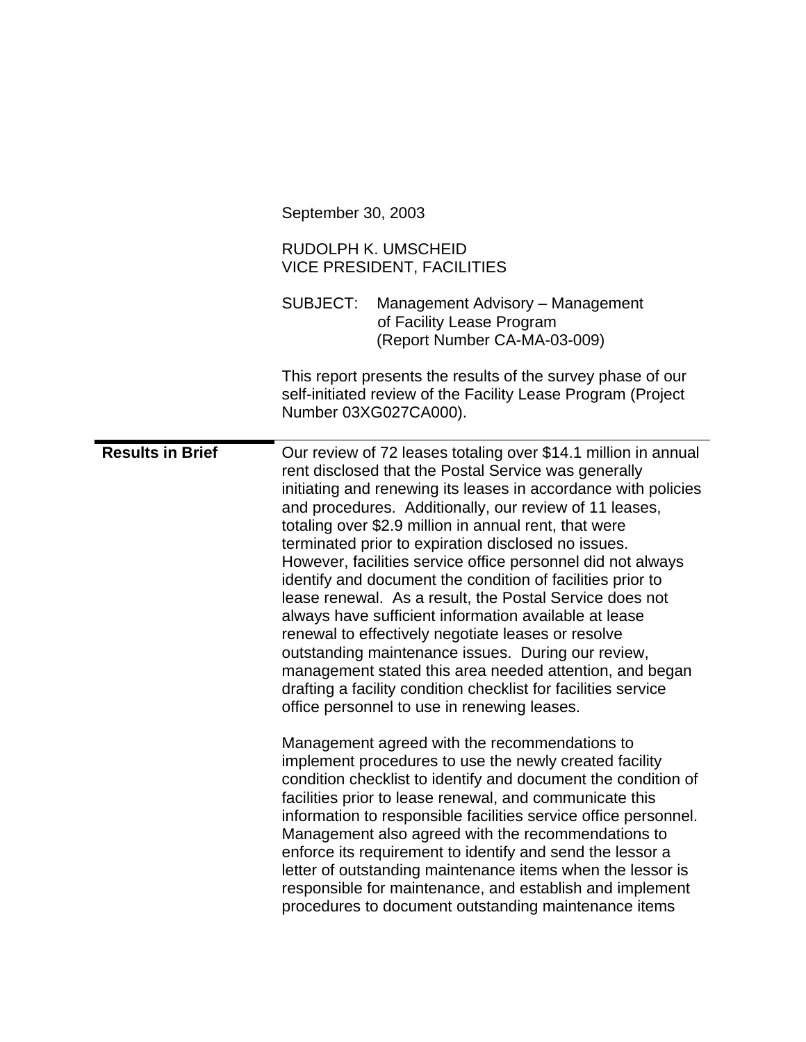|                         | September 30, 2003                                                                                                                                                                                                                                                                                                                                                                                                                                                                                                                                                                                                                                                                                                                                                                                                                                                                                          |
|-------------------------|-------------------------------------------------------------------------------------------------------------------------------------------------------------------------------------------------------------------------------------------------------------------------------------------------------------------------------------------------------------------------------------------------------------------------------------------------------------------------------------------------------------------------------------------------------------------------------------------------------------------------------------------------------------------------------------------------------------------------------------------------------------------------------------------------------------------------------------------------------------------------------------------------------------|
|                         | RUDOLPH K. UMSCHEID<br><b>VICE PRESIDENT, FACILITIES</b>                                                                                                                                                                                                                                                                                                                                                                                                                                                                                                                                                                                                                                                                                                                                                                                                                                                    |
|                         | <b>SUBJECT:</b><br>Management Advisory - Management<br>of Facility Lease Program<br>(Report Number CA-MA-03-009)                                                                                                                                                                                                                                                                                                                                                                                                                                                                                                                                                                                                                                                                                                                                                                                            |
|                         | This report presents the results of the survey phase of our<br>self-initiated review of the Facility Lease Program (Project<br>Number 03XG027CA000).                                                                                                                                                                                                                                                                                                                                                                                                                                                                                                                                                                                                                                                                                                                                                        |
| <b>Results in Brief</b> | Our review of 72 leases totaling over \$14.1 million in annual<br>rent disclosed that the Postal Service was generally<br>initiating and renewing its leases in accordance with policies<br>and procedures. Additionally, our review of 11 leases,<br>totaling over \$2.9 million in annual rent, that were<br>terminated prior to expiration disclosed no issues.<br>However, facilities service office personnel did not always<br>identify and document the condition of facilities prior to<br>lease renewal. As a result, the Postal Service does not<br>always have sufficient information available at lease<br>renewal to effectively negotiate leases or resolve<br>outstanding maintenance issues. During our review,<br>management stated this area needed attention, and began<br>drafting a facility condition checklist for facilities service<br>office personnel to use in renewing leases. |
|                         | Management agreed with the recommendations to<br>implement procedures to use the newly created facility<br>condition checklist to identify and document the condition of<br>facilities prior to lease renewal, and communicate this<br>information to responsible facilities service office personnel.<br>Management also agreed with the recommendations to<br>enforce its requirement to identify and send the lessor a<br>letter of outstanding maintenance items when the lessor is<br>responsible for maintenance, and establish and implement<br>procedures to document outstanding maintenance items                                                                                                                                                                                                                                                                                                 |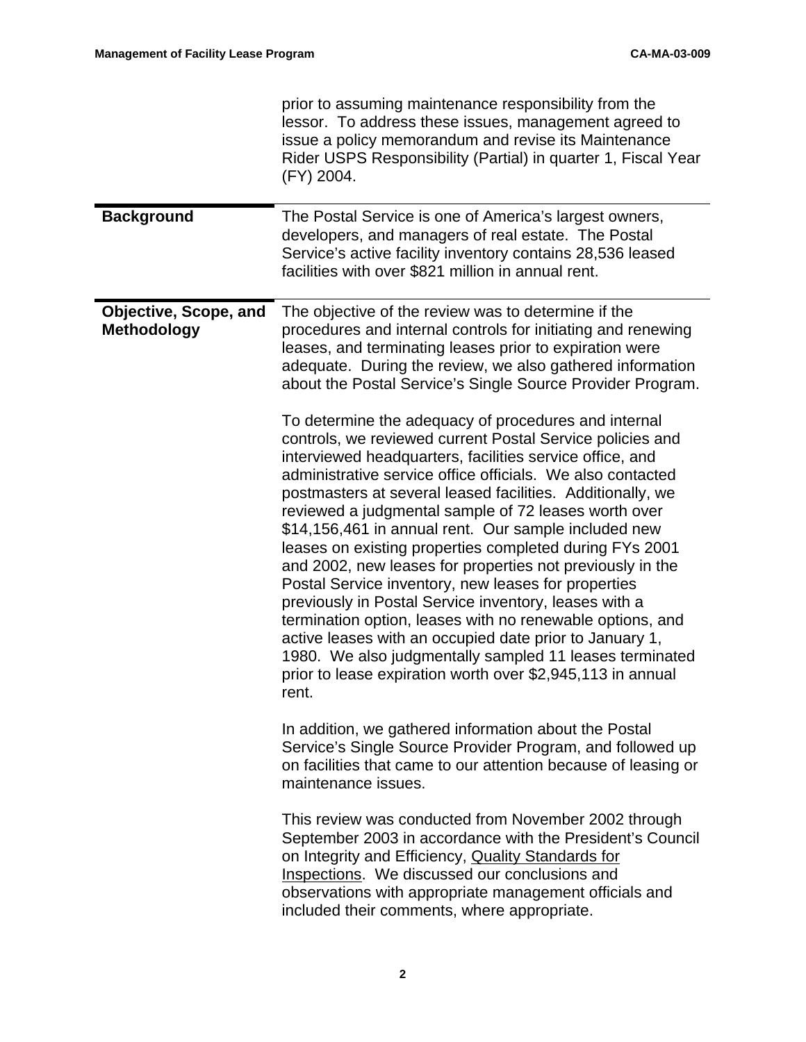|                                             | prior to assuming maintenance responsibility from the<br>lessor. To address these issues, management agreed to<br>issue a policy memorandum and revise its Maintenance<br>Rider USPS Responsibility (Partial) in quarter 1, Fiscal Year<br>(FY) 2004.                                                                                                                                                                                                                                                                                                                                                                                                                                                                                                                                                                                                                                                                       |
|---------------------------------------------|-----------------------------------------------------------------------------------------------------------------------------------------------------------------------------------------------------------------------------------------------------------------------------------------------------------------------------------------------------------------------------------------------------------------------------------------------------------------------------------------------------------------------------------------------------------------------------------------------------------------------------------------------------------------------------------------------------------------------------------------------------------------------------------------------------------------------------------------------------------------------------------------------------------------------------|
| <b>Background</b>                           | The Postal Service is one of America's largest owners,<br>developers, and managers of real estate. The Postal<br>Service's active facility inventory contains 28,536 leased<br>facilities with over \$821 million in annual rent.                                                                                                                                                                                                                                                                                                                                                                                                                                                                                                                                                                                                                                                                                           |
| Objective, Scope, and<br><b>Methodology</b> | The objective of the review was to determine if the<br>procedures and internal controls for initiating and renewing<br>leases, and terminating leases prior to expiration were<br>adequate. During the review, we also gathered information<br>about the Postal Service's Single Source Provider Program.                                                                                                                                                                                                                                                                                                                                                                                                                                                                                                                                                                                                                   |
|                                             | To determine the adequacy of procedures and internal<br>controls, we reviewed current Postal Service policies and<br>interviewed headquarters, facilities service office, and<br>administrative service office officials. We also contacted<br>postmasters at several leased facilities. Additionally, we<br>reviewed a judgmental sample of 72 leases worth over<br>\$14,156,461 in annual rent. Our sample included new<br>leases on existing properties completed during FYs 2001<br>and 2002, new leases for properties not previously in the<br>Postal Service inventory, new leases for properties<br>previously in Postal Service inventory, leases with a<br>termination option, leases with no renewable options, and<br>active leases with an occupied date prior to January 1,<br>1980. We also judgmentally sampled 11 leases terminated<br>prior to lease expiration worth over \$2,945,113 in annual<br>rent. |
|                                             | In addition, we gathered information about the Postal<br>Service's Single Source Provider Program, and followed up<br>on facilities that came to our attention because of leasing or<br>maintenance issues.                                                                                                                                                                                                                                                                                                                                                                                                                                                                                                                                                                                                                                                                                                                 |
|                                             | This review was conducted from November 2002 through<br>September 2003 in accordance with the President's Council<br>on Integrity and Efficiency, Quality Standards for<br>Inspections. We discussed our conclusions and<br>observations with appropriate management officials and<br>included their comments, where appropriate.                                                                                                                                                                                                                                                                                                                                                                                                                                                                                                                                                                                           |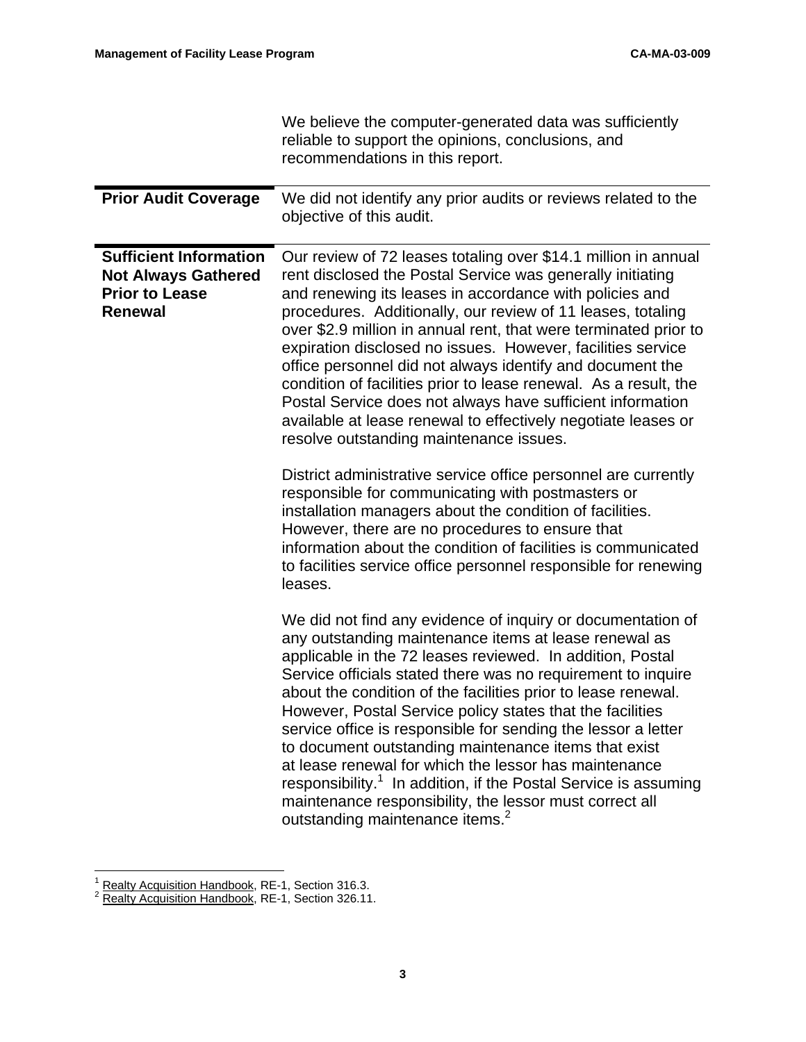|                                                                                                        | We believe the computer-generated data was sufficiently<br>reliable to support the opinions, conclusions, and<br>recommendations in this report.                                                                                                                                                                                                                                                                                                                                                                                                                                                                                                                                                                                                           |
|--------------------------------------------------------------------------------------------------------|------------------------------------------------------------------------------------------------------------------------------------------------------------------------------------------------------------------------------------------------------------------------------------------------------------------------------------------------------------------------------------------------------------------------------------------------------------------------------------------------------------------------------------------------------------------------------------------------------------------------------------------------------------------------------------------------------------------------------------------------------------|
| <b>Prior Audit Coverage</b>                                                                            | We did not identify any prior audits or reviews related to the<br>objective of this audit.                                                                                                                                                                                                                                                                                                                                                                                                                                                                                                                                                                                                                                                                 |
| <b>Sufficient Information</b><br><b>Not Always Gathered</b><br><b>Prior to Lease</b><br><b>Renewal</b> | Our review of 72 leases totaling over \$14.1 million in annual<br>rent disclosed the Postal Service was generally initiating<br>and renewing its leases in accordance with policies and<br>procedures. Additionally, our review of 11 leases, totaling<br>over \$2.9 million in annual rent, that were terminated prior to<br>expiration disclosed no issues. However, facilities service<br>office personnel did not always identify and document the<br>condition of facilities prior to lease renewal. As a result, the<br>Postal Service does not always have sufficient information<br>available at lease renewal to effectively negotiate leases or<br>resolve outstanding maintenance issues.                                                       |
|                                                                                                        | District administrative service office personnel are currently<br>responsible for communicating with postmasters or<br>installation managers about the condition of facilities.<br>However, there are no procedures to ensure that<br>information about the condition of facilities is communicated<br>to facilities service office personnel responsible for renewing<br>leases.                                                                                                                                                                                                                                                                                                                                                                          |
|                                                                                                        | We did not find any evidence of inquiry or documentation of<br>any outstanding maintenance items at lease renewal as<br>applicable in the 72 leases reviewed. In addition, Postal<br>Service officials stated there was no requirement to inquire<br>about the condition of the facilities prior to lease renewal.<br>However, Postal Service policy states that the facilities<br>service office is responsible for sending the lessor a letter<br>to document outstanding maintenance items that exist<br>at lease renewal for which the lessor has maintenance<br>responsibility. <sup>1</sup> In addition, if the Postal Service is assuming<br>maintenance responsibility, the lessor must correct all<br>outstanding maintenance items. <sup>2</sup> |

 $\frac{1}{2}$  Realty Acquisition Handbook, RE-1, Section 316.3.<br> $\frac{2}{2}$  Realty Acquisition Handbook, RE-1, Section 326.11.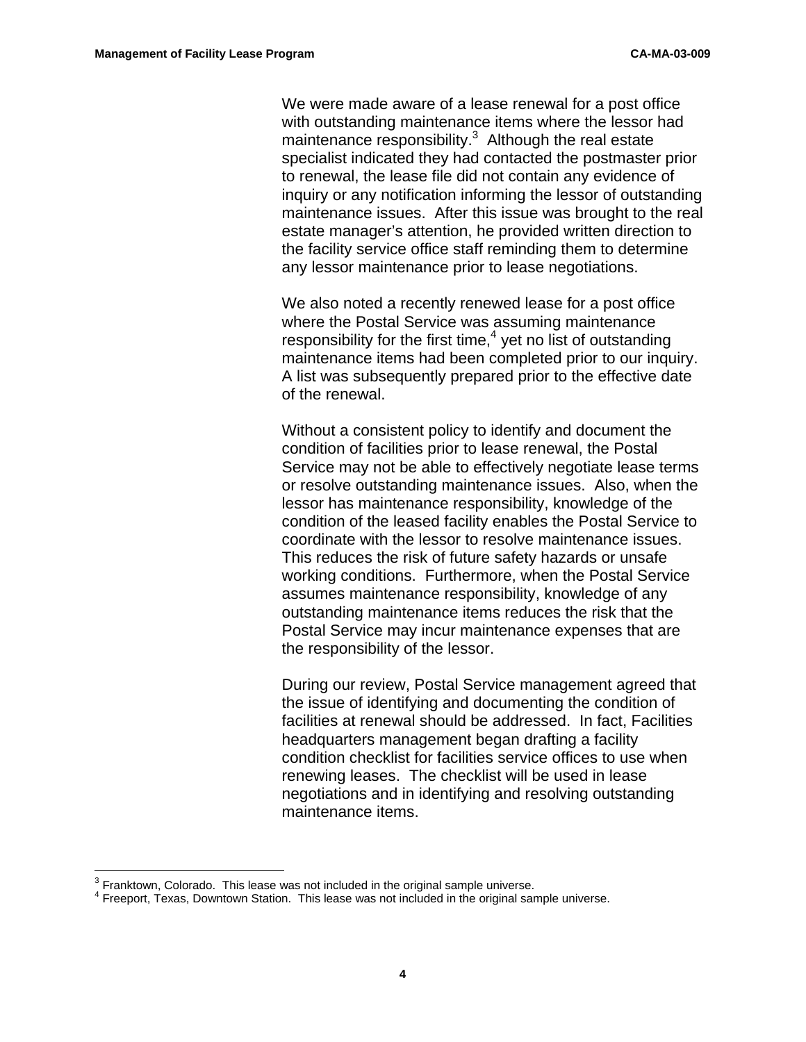We were made aware of a lease renewal for a post office with outstanding maintenance items where the lessor had maintenance responsibility. $3$  Although the real estate specialist indicated they had contacted the postmaster prior to renewal, the lease file did not contain any evidence of inquiry or any notification informing the lessor of outstanding maintenance issues. After this issue was brought to the real estate manager's attention, he provided written direction to the facility service office staff reminding them to determine any lessor maintenance prior to lease negotiations.

We also noted a recently renewed lease for a post office where the Postal Service was assuming maintenance responsibility for the first time, $4$  yet no list of outstanding maintenance items had been completed prior to our inquiry. A list was subsequently prepared prior to the effective date of the renewal.

Without a consistent policy to identify and document the condition of facilities prior to lease renewal, the Postal Service may not be able to effectively negotiate lease terms or resolve outstanding maintenance issues. Also, when the lessor has maintenance responsibility, knowledge of the condition of the leased facility enables the Postal Service to coordinate with the lessor to resolve maintenance issues. This reduces the risk of future safety hazards or unsafe working conditions. Furthermore, when the Postal Service assumes maintenance responsibility, knowledge of any outstanding maintenance items reduces the risk that the Postal Service may incur maintenance expenses that are the responsibility of the lessor.

During our review, Postal Service management agreed that the issue of identifying and documenting the condition of facilities at renewal should be addressed. In fact, Facilities headquarters management began drafting a facility condition checklist for facilities service offices to use when renewing leases. The checklist will be used in lease negotiations and in identifying and resolving outstanding maintenance items.

 $\frac{1}{3}$  $3$  Franktown, Colorado. This lease was not included in the original sample universe.

<sup>&</sup>lt;sup>4</sup> Freeport, Texas, Downtown Station. This lease was not included in the original sample universe.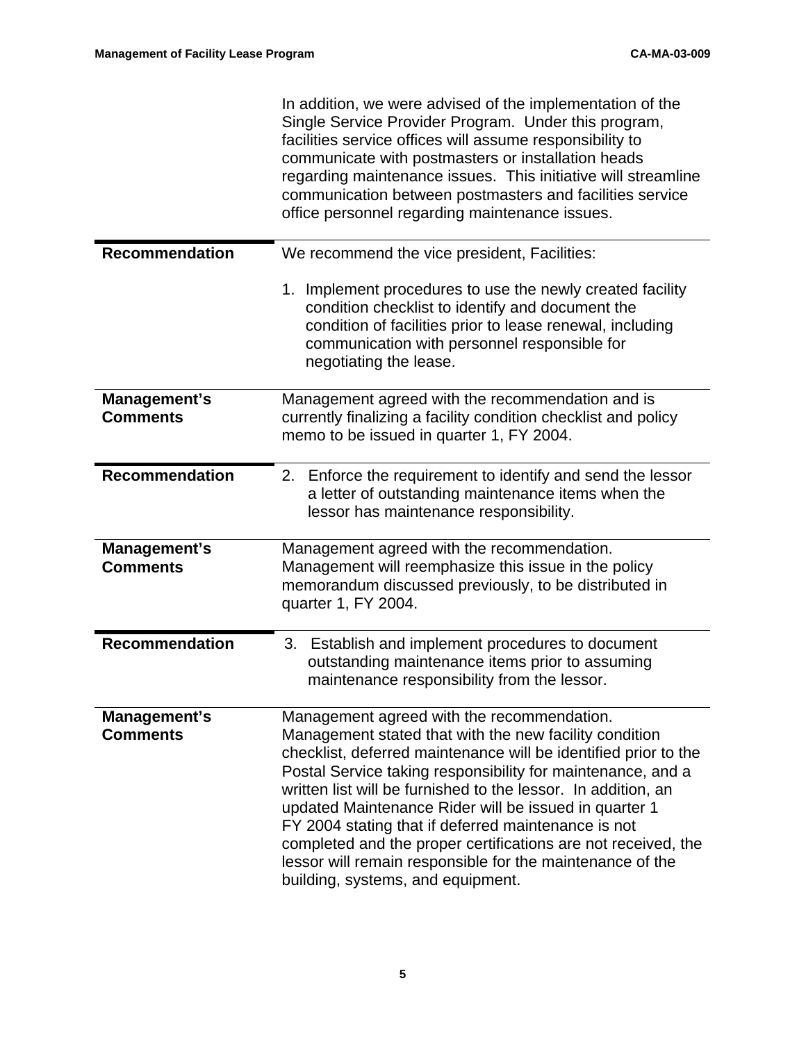|                                 | In addition, we were advised of the implementation of the<br>Single Service Provider Program. Under this program,<br>facilities service offices will assume responsibility to<br>communicate with postmasters or installation heads<br>regarding maintenance issues. This initiative will streamline<br>communication between postmasters and facilities service<br>office personnel regarding maintenance issues.                                                                                                                                                                         |
|---------------------------------|--------------------------------------------------------------------------------------------------------------------------------------------------------------------------------------------------------------------------------------------------------------------------------------------------------------------------------------------------------------------------------------------------------------------------------------------------------------------------------------------------------------------------------------------------------------------------------------------|
| <b>Recommendation</b>           | We recommend the vice president, Facilities:                                                                                                                                                                                                                                                                                                                                                                                                                                                                                                                                               |
|                                 | 1. Implement procedures to use the newly created facility<br>condition checklist to identify and document the<br>condition of facilities prior to lease renewal, including<br>communication with personnel responsible for<br>negotiating the lease.                                                                                                                                                                                                                                                                                                                                       |
| Management's<br><b>Comments</b> | Management agreed with the recommendation and is<br>currently finalizing a facility condition checklist and policy<br>memo to be issued in quarter 1, FY 2004.                                                                                                                                                                                                                                                                                                                                                                                                                             |
| <b>Recommendation</b>           | 2. Enforce the requirement to identify and send the lessor<br>a letter of outstanding maintenance items when the<br>lessor has maintenance responsibility.                                                                                                                                                                                                                                                                                                                                                                                                                                 |
| Management's<br><b>Comments</b> | Management agreed with the recommendation.<br>Management will reemphasize this issue in the policy<br>memorandum discussed previously, to be distributed in<br>quarter 1, FY 2004.                                                                                                                                                                                                                                                                                                                                                                                                         |
| Recommendation                  | Establish and implement procedures to document<br>3.<br>outstanding maintenance items prior to assuming<br>maintenance responsibility from the lessor.                                                                                                                                                                                                                                                                                                                                                                                                                                     |
| Management's<br><b>Comments</b> | Management agreed with the recommendation.<br>Management stated that with the new facility condition<br>checklist, deferred maintenance will be identified prior to the<br>Postal Service taking responsibility for maintenance, and a<br>written list will be furnished to the lessor. In addition, an<br>updated Maintenance Rider will be issued in quarter 1<br>FY 2004 stating that if deferred maintenance is not<br>completed and the proper certifications are not received, the<br>lessor will remain responsible for the maintenance of the<br>building, systems, and equipment. |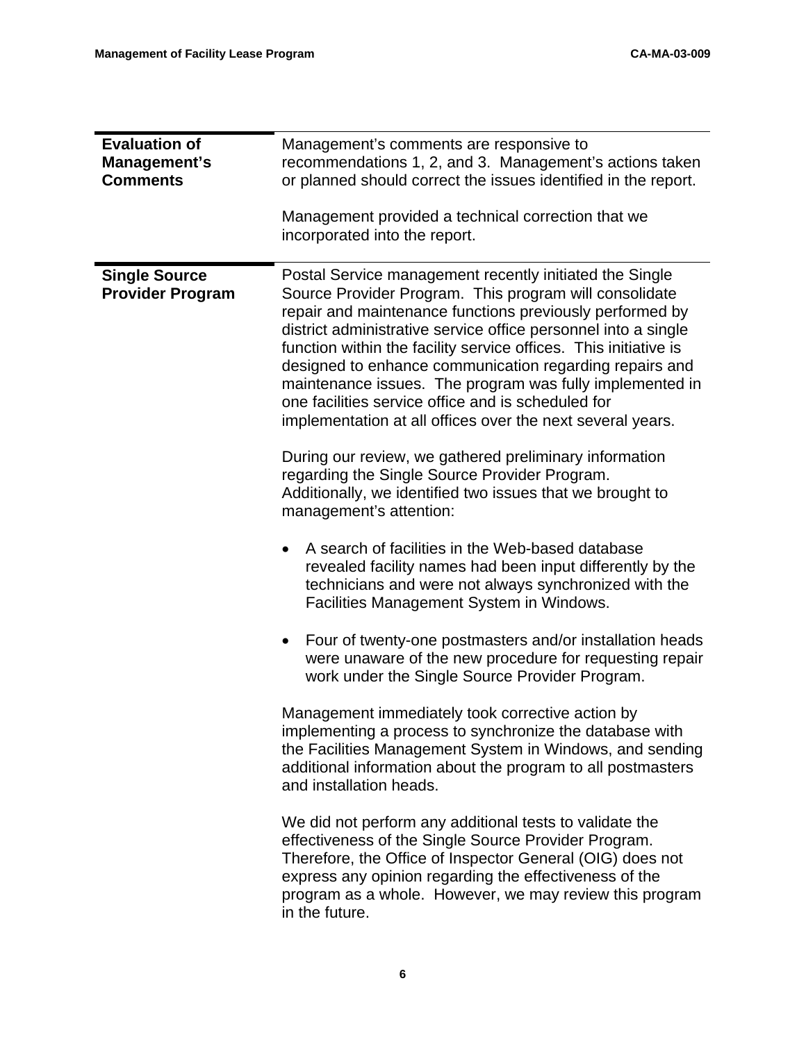| <b>Evaluation of</b><br>Management's<br><b>Comments</b> | Management's comments are responsive to<br>recommendations 1, 2, and 3. Management's actions taken<br>or planned should correct the issues identified in the report.                                                                                                                                                                                                                                                                                                                                                                                           |
|---------------------------------------------------------|----------------------------------------------------------------------------------------------------------------------------------------------------------------------------------------------------------------------------------------------------------------------------------------------------------------------------------------------------------------------------------------------------------------------------------------------------------------------------------------------------------------------------------------------------------------|
|                                                         | Management provided a technical correction that we<br>incorporated into the report.                                                                                                                                                                                                                                                                                                                                                                                                                                                                            |
| <b>Single Source</b><br><b>Provider Program</b>         | Postal Service management recently initiated the Single<br>Source Provider Program. This program will consolidate<br>repair and maintenance functions previously performed by<br>district administrative service office personnel into a single<br>function within the facility service offices. This initiative is<br>designed to enhance communication regarding repairs and<br>maintenance issues. The program was fully implemented in<br>one facilities service office and is scheduled for<br>implementation at all offices over the next several years. |
|                                                         | During our review, we gathered preliminary information<br>regarding the Single Source Provider Program.<br>Additionally, we identified two issues that we brought to<br>management's attention:                                                                                                                                                                                                                                                                                                                                                                |
|                                                         | A search of facilities in the Web-based database<br>revealed facility names had been input differently by the<br>technicians and were not always synchronized with the<br>Facilities Management System in Windows.                                                                                                                                                                                                                                                                                                                                             |
|                                                         | Four of twenty-one postmasters and/or installation heads<br>$\bullet$<br>were unaware of the new procedure for requesting repair<br>work under the Single Source Provider Program.                                                                                                                                                                                                                                                                                                                                                                             |
|                                                         | Management immediately took corrective action by<br>implementing a process to synchronize the database with<br>the Facilities Management System in Windows, and sending<br>additional information about the program to all postmasters<br>and installation heads.                                                                                                                                                                                                                                                                                              |
|                                                         | We did not perform any additional tests to validate the<br>effectiveness of the Single Source Provider Program.<br>Therefore, the Office of Inspector General (OIG) does not<br>express any opinion regarding the effectiveness of the<br>program as a whole. However, we may review this program<br>in the future.                                                                                                                                                                                                                                            |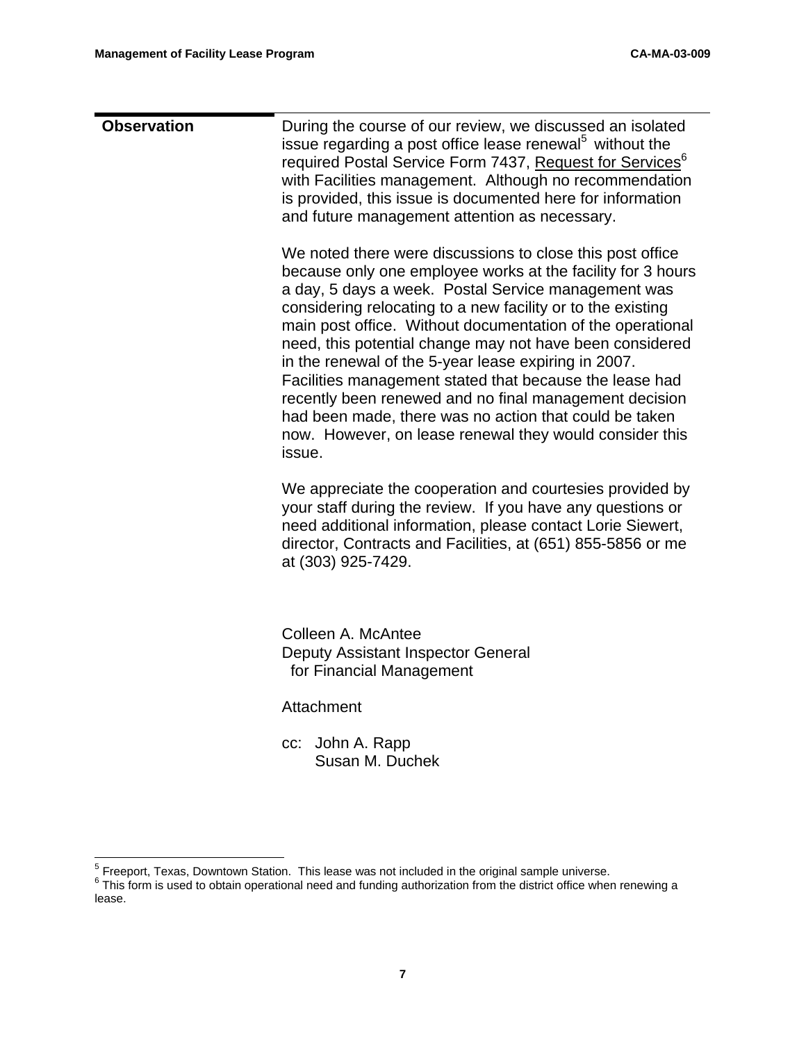| <b>Observation</b> | During the course of our review, we discussed an isolated<br>issue regarding a post office lease renewal <sup>5</sup> without the<br>required Postal Service Form 7437, Request for Services <sup>6</sup><br>with Facilities management. Although no recommendation<br>is provided, this issue is documented here for information<br>and future management attention as necessary.                                                                                                                                                                                                                                                                                                   |
|--------------------|--------------------------------------------------------------------------------------------------------------------------------------------------------------------------------------------------------------------------------------------------------------------------------------------------------------------------------------------------------------------------------------------------------------------------------------------------------------------------------------------------------------------------------------------------------------------------------------------------------------------------------------------------------------------------------------|
|                    | We noted there were discussions to close this post office<br>because only one employee works at the facility for 3 hours<br>a day, 5 days a week. Postal Service management was<br>considering relocating to a new facility or to the existing<br>main post office. Without documentation of the operational<br>need, this potential change may not have been considered<br>in the renewal of the 5-year lease expiring in 2007.<br>Facilities management stated that because the lease had<br>recently been renewed and no final management decision<br>had been made, there was no action that could be taken<br>now. However, on lease renewal they would consider this<br>issue. |
|                    | We appreciate the cooperation and courtesies provided by<br>your staff during the review. If you have any questions or<br>need additional information, please contact Lorie Siewert,<br>director, Contracts and Facilities, at (651) 855-5856 or me<br>at (303) 925-7429.                                                                                                                                                                                                                                                                                                                                                                                                            |
|                    | Colleen A. McAntee<br>Deputy Assistant Inspector General<br>for Financial Management                                                                                                                                                                                                                                                                                                                                                                                                                                                                                                                                                                                                 |
|                    | Attachment                                                                                                                                                                                                                                                                                                                                                                                                                                                                                                                                                                                                                                                                           |
|                    | John A. Rapp<br>CC:<br>Susan M. Duchek                                                                                                                                                                                                                                                                                                                                                                                                                                                                                                                                                                                                                                               |
|                    |                                                                                                                                                                                                                                                                                                                                                                                                                                                                                                                                                                                                                                                                                      |

<sup>-&</sup>lt;br>5

 $\frac{5}{6}$  Freeport, Texas, Downtown Station. This lease was not included in the original sample universe.<br> $\frac{6}{6}$  This form is used to obtain operational need and funding authorization from the district office when rene lease.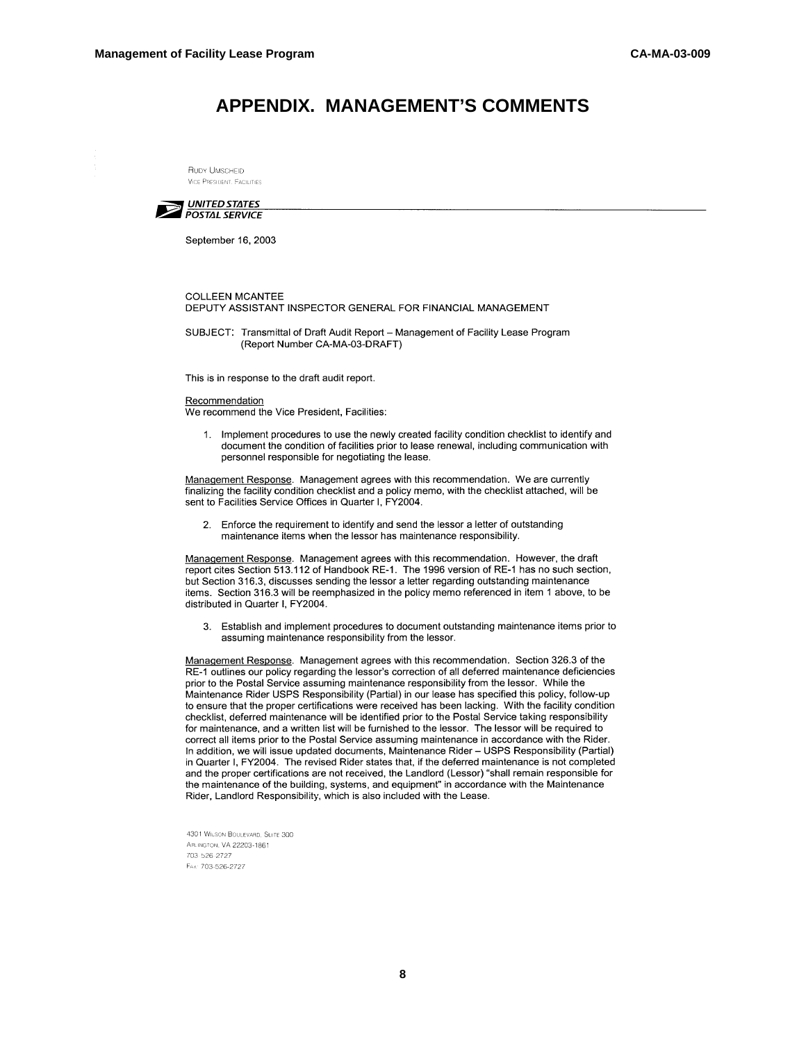## **APPENDIX. MANAGEMENT'S COMMENTS**

RUDY UMSCHEID **VICE PRESIDENT, FACILITIES** 



September 16, 2003

## **COLLEEN MCANTEE** DEPUTY ASSISTANT INSPECTOR GENERAL FOR FINANCIAL MANAGEMENT

SUBJECT: Transmittal of Draft Audit Report - Management of Facility Lease Program (Report Number CA-MA-03-DRAFT)

This is in response to the draft audit report.

## Recommendation

We recommend the Vice President, Facilities:

1. Implement procedures to use the newly created facility condition checklist to identify and document the condition of facilities prior to lease renewal, including communication with personnel responsible for negotiating the lease.

Management Response. Management agrees with this recommendation. We are currently finalizing the facility condition checklist and a policy memo, with the checklist attached, will be sent to Facilities Service Offices in Quarter I, FY2004.

Enforce the requirement to identify and send the lessor a letter of outstanding maintenance items when the lessor has maintenance responsibility.

Management Response. Management agrees with this recommendation. However, the draft report cites Section 513.112 of Handbook RE-1. The 1996 version of RE-1 has no such section, but Section 316.3, discusses sending the lessor a letter regarding outstanding maintenance items. Section 316.3 will be reemphasized in the policy memo referenced in item 1 above, to be distributed in Quarter I, FY2004.

3. Establish and implement procedures to document outstanding maintenance items prior to assuming maintenance responsibility from the lessor.

Management Response. Management agrees with this recommendation. Section 326.3 of the RE-1 outlines our policy regarding the lessor's correction of all deferred maintenance deficiencies prior to the Postal Service assuming maintenance responsibility from the lessor. While the Maintenance Rider USPS Responsibility (Partial) in our lease has specified this policy, follow-up to ensure that the proper certifications were received has been lacking. With the facility condition checklist, deferred maintenance will be identified prior to the Postal Service taking responsibility for maintenance, and a written list will be furnished to the lessor. The lessor will be required to correct all items prior to the Postal Service assuming maintenance in accordance with the Rider. In addition, we will issue updated documents, Maintenance Rider - USPS Responsibility (Partial) in Quarter I, FY2004. The revised Rider states that, if the deferred maintenance is not completed and the proper certifications are not received, the Landlord (Lessor) "shall remain responsible for the maintenance of the building, systems, and equipment" in accordance with the Maintenance Rider, Landlord Responsibility, which is also included with the Lease.

4301 WILSON BOULEVARD, SUITE 300 ARLINGTON, VA 22203-1861 703-526-2727 FAx: 703-526-2727